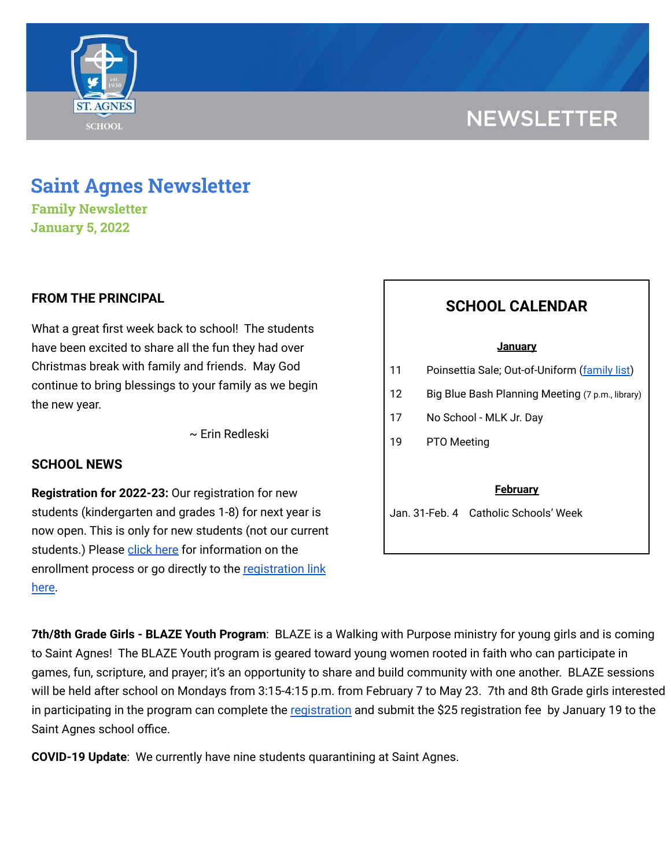# **NEWSLETTER**



**Family Newsletter January 5, 2022**

# **FROM THE PRINCIPAL**

What a great first week back to school! The students have been excited to share all the fun they had over Christmas break with family and friends. May God continue to bring blessings to your family as we begin the new year.

~ Erin Redleski

## **SCHOOL NEWS**

**Registration for 2022-23:** Our registration for new students (kindergarten and grades 1-8) for next year is now open. This is only for new students (not our current students.) Please [click](https://school.saintagnes.com/admission/) here for information on the enrollment process or go directly to the [registration](https://sycamore.school/login?schoolId=3292) link [here](https://sycamore.school/login?schoolId=3292).

# **SCHOOL CALENDAR**

#### **January**

- 11 Poinsettia Sale; Out-of-Uniform [\(family](https://docs.google.com/document/d/1l9XsGYhXi88Hm9sUpKEx-EiqjVXw9BnlKJbou1N_KvI/edit?usp=sharing) list)
- 12 Big Blue Bash Planning Meeting (7 p.m., library)
- 17 No School MLK Jr. Day
- 19 PTO Meeting

#### **February**

Jan. 31-Feb. 4 Catholic Schools' Week

**7th/8th Grade Girls - BLAZE Youth Program**: BLAZE is a Walking with Purpose ministry for young girls and is coming to Saint Agnes! The BLAZE Youth program is geared toward young women rooted in faith who can participate in games, fun, scripture, and prayer; it's an opportunity to share and build community with one another. BLAZE sessions will be held after school on Mondays from 3:15-4:15 p.m. from February 7 to May 23. 7th and 8th Grade girls interested in participating in the program can complete the [registration](https://docs.google.com/document/d/1ai1OOCOdAhoaAaJnhV6SE4XQ-7frYmcR6jJh56aVYTI/edit?usp=sharing) and submit the \$25 registration fee by January 19 to the Saint Agnes school office.

**COVID-19 Update**: We currently have nine students quarantining at Saint Agnes.

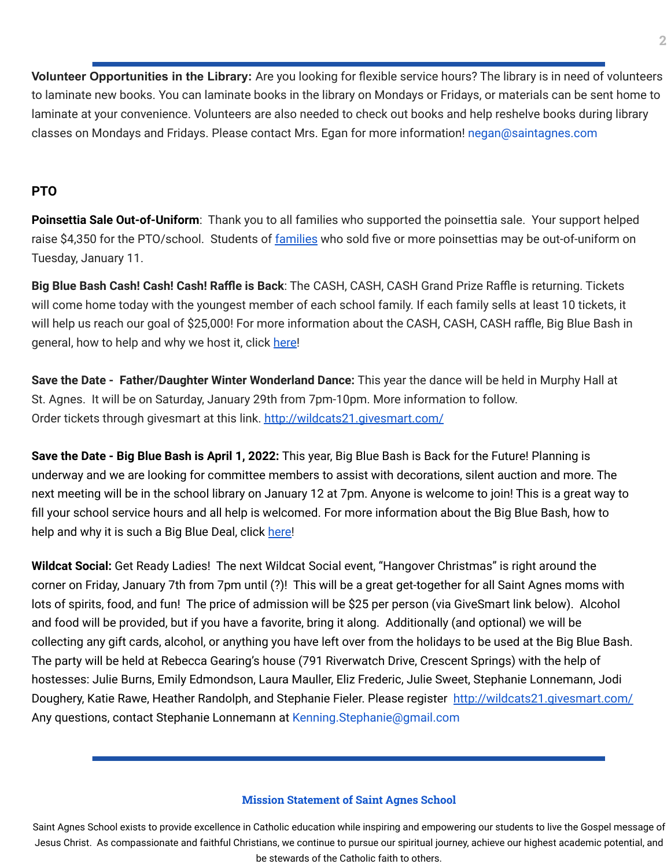**Volunteer Opportunities in the Library:** Are you looking for flexible service hours? The library is in need of volunteers to laminate new books. You can laminate books in the library on Mondays or Fridays, or materials can be sent home to laminate at your convenience. Volunteers are also needed to check out books and help reshelve books during library classes on Mondays and Fridays. Please contact Mrs. Egan for more information! negan@saintagnes.com

# **PTO**

**Poinsettia Sale Out-of-Uniform**: Thank you to all families who supported the poinsettia sale. Your support helped raise \$4,350 for the PTO/school. Students of [families](https://docs.google.com/document/d/1l9XsGYhXi88Hm9sUpKEx-EiqjVXw9BnlKJbou1N_KvI/edit?usp=sharing) who sold five or more poinsettias may be out-of-uniform on Tuesday, January 11.

**Big Blue Bash Cash! Cash! Cash! Raffle is Back**: The CASH, CASH, CASH Grand Prize Raffle is returning. Tickets will come home today with the youngest member of each school family. If each family sells at least 10 tickets, it will help us reach our goal of \$25,000! For more information about the CASH, CASH, CASH raffle, Big Blue Bash in general, how to help and why we host it, click [here!](https://bbb2022.givesmart.com/)

**Save the Date - Father/Daughter Winter Wonderland Dance:** This year the dance will be held in Murphy Hall at St. Agnes. It will be on Saturday, January 29th from 7pm-10pm. More information to follow. Order tickets through givesmart at this link. <http://wildcats21.givesmart.com/>

**Save the Date - Big Blue Bash is April 1, 2022:** This year, Big Blue Bash is Back for the Future! Planning is underway and we are looking for committee members to assist with decorations, silent auction and more. The next meeting will be in the school library on January 12 at 7pm. Anyone is welcome to join! This is a great way to fill your school service hours and all help is welcomed. For more information about the Big Blue Bash, how to help and why it is such a Big Blue Deal, click [here!](https://bbb2022.givesmart.com/)

**Wildcat Social:** Get Ready Ladies! The next Wildcat Social event, "Hangover Christmas" is right around the corner on Friday, January 7th from 7pm until (?)! This will be a great get-together for all Saint Agnes moms with lots of spirits, food, and fun! The price of admission will be \$25 per person (via GiveSmart link below). Alcohol and food will be provided, but if you have a favorite, bring it along. Additionally (and optional) we will be collecting any gift cards, alcohol, or anything you have left over from the holidays to be used at the Big Blue Bash. The party will be held at Rebecca Gearing's house (791 [Riverwatch](https://www.google.com/maps/search/791+Riverwatch+Drive,+Crescent+Springs?entry=gmail&source=g) Drive, Crescent Springs) with the help of hostesses: Julie Burns, Emily Edmondson, Laura Mauller, Eliz Frederic, Julie Sweet, Stephanie Lonnemann, Jodi Doughery, Katie Rawe, Heather Randolph, and Stephanie Fieler. Please register <http://wildcats21.givesmart.com/> Any questions, contact Stephanie Lonnemann at Kenning. Stephanie@gmail.com

## **Mission Statement of Saint Agnes School**

Saint Agnes School exists to provide excellence in Catholic education while inspiring and empowering our students to live the Gospel message of Jesus Christ. As compassionate and faithful Christians, we continue to pursue our spiritual journey, achieve our highest academic potential, and be stewards of the Catholic faith to others.